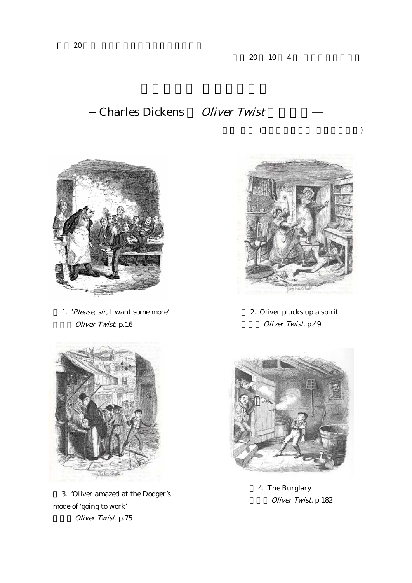## Charles Dickens Oliver Twist



1. 'Please, sir, I want some more' Oliver Twist. p.16



3. 'Oliver amazed at the Dodger's mode of 'going to work' Oliver Twist. p.75



 $($ 

2. Oliver plucks up a spirit Oliver Twist. p.49



4. The Burglary Oliver Twist. p.182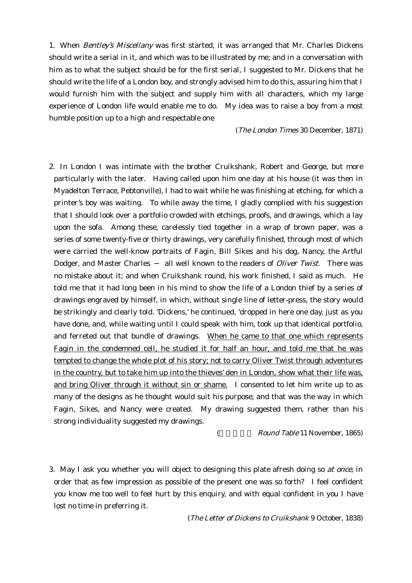1. When Bentley's Miscellany was first started, it was arranged that Mr. Charles Dickens should write a serial in it, and which was to be illustrated by me; and in a conversation with him as to what the subject should be for the first serial, I suggested to Mr. Dickens that he should write the life of a London boy, and strongly advised him to do this, assuring him that I would furnish him with the subject and supply him with all characters, which my large experience of London life would enable me to do. My idea was to raise a boy from a most humble position up to a high and respectable one

(The London Times 30 December, 1871)

2. In London I was intimate with the brother Cruikshank, Robert and George, but more particularly with the later. Having called upon him one day at his house (it was then in Myadelton Terrace, Pebtonville), I had to wait while he was finishing at etching, for which a printer's boy was waiting. To while away the time, I gladly complied with his suggestion that I should look over a portfolio crowded with etchings, proofs, and drawings, which a lay upon the sofa. Among these, carelessly tied together in a wrap of brown paper, was a series of some twenty-five or thirty drawings, very carefully finished, through most of which were carried the well-know portraits of Fagin, Bill Sikes and his dog, Nancy, the Artful Dodger, and Master Charles all well known to the readers of *Oliver Twist*. There was no mistake about it; and when Cruikshank round, his work finished, I said as much. He told me that it had long been in his mind to show the life of a London thief by a series of drawings engraved by himself, in which, without single line of letter-press, the story would be strikingly and clearly told. 'Dickens,' he continued, 'dropped in here one day, just as you have done, and, while waiting until I could speak with him, took up that identical portfolio, and ferreted out that bundle of drawings. When he came to that one which represents Fagin in the condemned cell, he studied it for half an hour, and told me that he was tempted to change the whole plot of his story; not to carry Oliver Twist through adventures in the country, but to take him up into the thieves' den in London, show what their life was, and bring Oliver through it without sin or shame. I consented to let him write up to as many of the designs as he thought would suit his purpose; and that was the way in which Fagin, Sikes, and Nancy were created. My drawing suggested them, rather than his strong individuality suggested my drawings.

( Round Table 11 November, 1865)

3. May I ask you whether you will object to designing this plate afresh doing so at once, in order that as few impression as possible of the present one was so forth? I feel confident you know me too well to feel hurt by this enquiry, and with equal confident in you I have lost no time in preferring it.

(The Letter of Dickens to Cruikshank 9 October, 1838)